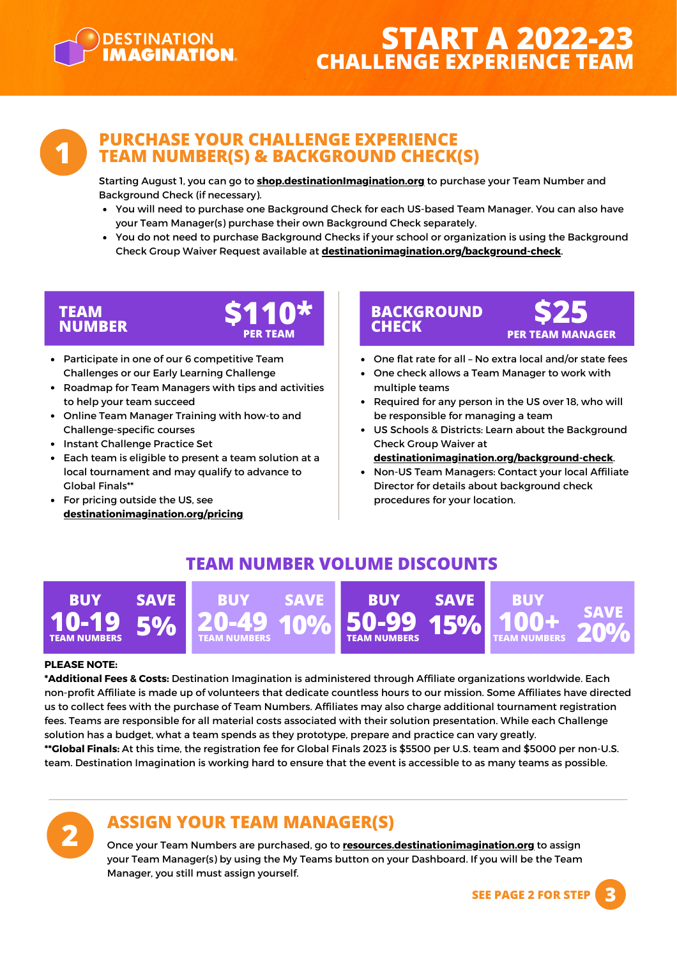

# **START A 2022-23 CHALLENGE EXPERIENCE TEAM**



#### **PURCHASE YOUR CHALLENGE EXPERIENCE TEAM NUMBER(S) & BACKGROUND CHECK(S)**

Starting August 1, you can go to **[shop.destinationImagination.org](https://resources.destinationimagination.org/shop.php)** to purchase your Team Number and Background Check (if necessary).

- You will need to purchase one Background Check for each US-based Team Manager. You can also have your Team Manager(s) purchase their own Background Check separately.
- You do not need to purchase Background Checks if your school or organization is using the Background Check Group Waiver Request available at **[destinationimagination.org/background-check](https://www.destinationimagination.org/background-check)**.

# **TEAM**



- Participate in one of our 6 competitive Team Challenges or our Early Learning Challenge
- Roadmap for Team Managers with tips and activities to help your team succeed
- Online Team Manager Training with how-to and  $\bullet$ Challenge-specific courses
- Instant Challenge Practice Set
- Each team is eligible to present a team solution at a local tournament and may qualify to advance to Global Finals\*\*
- For pricing outside the US, see **[destinationimagination.org/pricing](https://www.destinationimagination.org/pricing/)**

#### **BACKGROUND**<br> **CHECK** PER TEAM MANA **PER TEAM PER TEAM MANAGER**



- One check allows a Team Manager to work with multiple teams
- Required for any person in the US over 18, who will be responsible for managing a team
- US Schools & Districts: Learn about the [Background](https://www.destinationimagination.org/challenge-experience/background-checks/) Check Group [Waiver](https://www.destinationimagination.org/challenge-experience/background-checks/) at
- **[destinationimagination.org/background-check](https://www.destinationimagination.org/background-check)**[.](https://www.destinationimagination.org/challenge-experience/background-checks/)
- Non-US Team Managers: Contact your local Affiliate Director for details about background check procedures for your location.

### **TEAM NUMBER VOLUME DISCOUNTS**



#### **PLEASE NOTE:**

**2**

**\*Additional Fees & Costs:** Destination Imagination is administered through Affiliate organizations worldwide. Each non-profit Affiliate is made up of volunteers that dedicate countless hours to our mission. Some Affiliates have directed us to collect fees with the purchase of Team Numbers. Affiliates may also charge additional tournament registration fees. Teams are responsible for all material costs associated with their solution presentation. While each Challenge solution has a budget, what a team spends as they prototype, prepare and practice can vary greatly. **\*\*Global Finals:** At this time, the registration fee for [Global](https://www.destinationimagination.org/challenge-experience/global-finals/) Finals 2023 is \$5500 per U.S. team and \$5000 per non-U.S.

team. Destination Imagination is working hard to ensure that the event is accessible to as many teams as possible.

# **ASSIGN YOUR TEAM MANAGER(S)**

Once your Team Numbers are purchased, go to **[resources.destinationimagination.org](https://resources.destinationimagination.org/)** to assign your Team Manager(s) by using the My Teams button on your Dashboard. If you will be the Team Manager, you still must assign yourself.